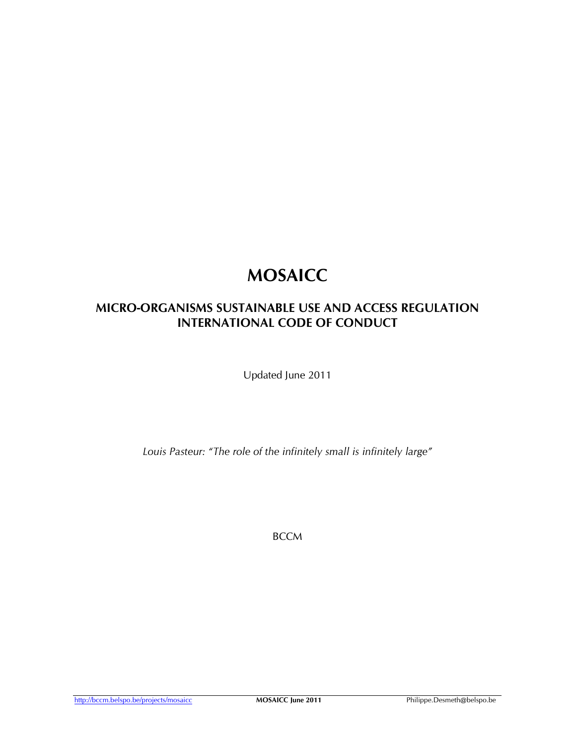# MOSAICC

# MICRO-ORGANISMS SUSTAINABLE USE AND ACCESS REGULATION INTERNATIONAL CODE OF CONDUCT

Updated June 2011

Louis Pasteur: "The role of the infinitely small is infinitely large"

**BCCM** 

http://bccm.belspo.be/projects/mosaicc MOSAICC June 2011 Philippe.Desmeth@belspo.be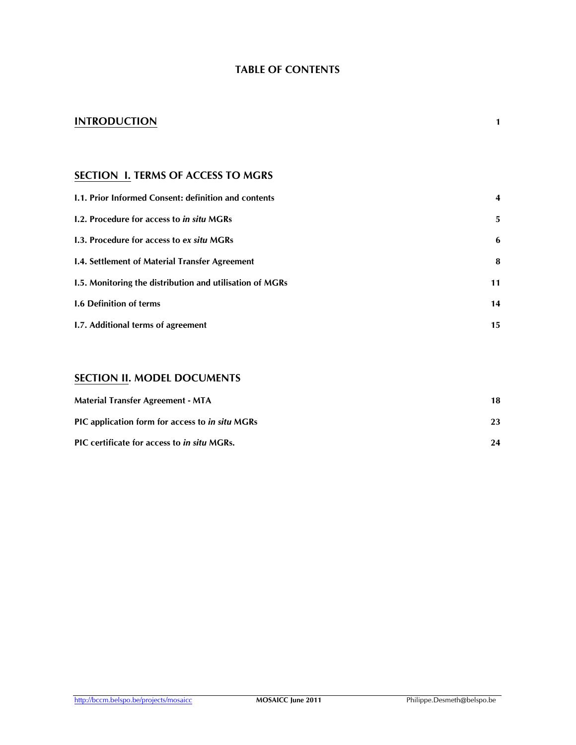## TABLE OF CONTENTS

## **INTRODUCTION**

## **SECTION I. TERMS OF ACCESS TO MGRS**

| <b>1.1. Prior Informed Consent: definition and contents</b> |    |
|-------------------------------------------------------------|----|
| 1.2. Procedure for access to in situ MGRs                   | 5. |
| 1.3. Procedure for access to ex situ MGRs                   | 6  |
| <b>1.4. Settlement of Material Transfer Agreement</b>       | 8  |
| 1.5. Monitoring the distribution and utilisation of MGRs    | 11 |
| <b>1.6 Definition of terms</b>                              | 14 |
| I.7. Additional terms of agreement                          | 15 |

## SECTION II. MODEL DOCUMENTS

| <b>Material Transfer Agreement - MTA</b>                  | 18 |
|-----------------------------------------------------------|----|
| PIC application form for access to in situ MGRs           | 23 |
| <b>PIC</b> certificate for access to <i>in situ</i> MGRs. | 24 |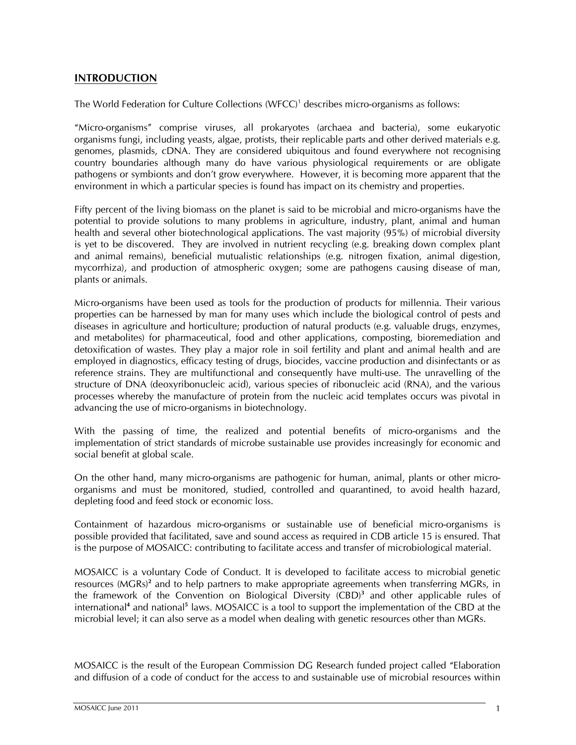## INTRODUCTION

The World Federation for Culture Collections (WFCC)<sup>1</sup> describes micro-organisms as follows:

"Micro-organisms" comprise viruses, all prokaryotes (archaea and bacteria), some eukaryotic organisms fungi, including yeasts, algae, protists, their replicable parts and other derived materials e.g. genomes, plasmids, cDNA. They are considered ubiquitous and found everywhere not recognising country boundaries although many do have various physiological requirements or are obligate pathogens or symbionts and don't grow everywhere. However, it is becoming more apparent that the environment in which a particular species is found has impact on its chemistry and properties.

Fifty percent of the living biomass on the planet is said to be microbial and micro-organisms have the potential to provide solutions to many problems in agriculture, industry, plant, animal and human health and several other biotechnological applications. The vast majority (95%) of microbial diversity is yet to be discovered. They are involved in nutrient recycling (e.g. breaking down complex plant and animal remains), beneficial mutualistic relationships (e.g. nitrogen fixation, animal digestion, mycorrhiza), and production of atmospheric oxygen; some are pathogens causing disease of man, plants or animals.

Micro-organisms have been used as tools for the production of products for millennia. Their various properties can be harnessed by man for many uses which include the biological control of pests and diseases in agriculture and horticulture; production of natural products (e.g. valuable drugs, enzymes, and metabolites) for pharmaceutical, food and other applications, composting, bioremediation and detoxification of wastes. They play a major role in soil fertility and plant and animal health and are employed in diagnostics, efficacy testing of drugs, biocides, vaccine production and disinfectants or as reference strains. They are multifunctional and consequently have multi-use. The unravelling of the structure of DNA (deoxyribonucleic acid), various species of ribonucleic acid (RNA), and the various processes whereby the manufacture of protein from the nucleic acid templates occurs was pivotal in advancing the use of micro-organisms in biotechnology.

With the passing of time, the realized and potential benefits of micro-organisms and the implementation of strict standards of microbe sustainable use provides increasingly for economic and social benefit at global scale.

On the other hand, many micro-organisms are pathogenic for human, animal, plants or other microorganisms and must be monitored, studied, controlled and quarantined, to avoid health hazard, depleting food and feed stock or economic loss.

Containment of hazardous micro-organisms or sustainable use of beneficial micro-organisms is possible provided that facilitated, save and sound access as required in CDB article 15 is ensured. That is the purpose of MOSAICC: contributing to facilitate access and transfer of microbiological material.

MOSAICC is a voluntary Code of Conduct. It is developed to facilitate access to microbial genetic resources (MGRs)<sup>2</sup> and to help partners to make appropriate agreements when transferring MGRs, in the framework of the Convention on Biological Diversity (CBD)<sup>3</sup> and other applicable rules of international<sup>4</sup> and national<sup>5</sup> laws. MOSAICC is a tool to support the implementation of the CBD at the microbial level; it can also serve as a model when dealing with genetic resources other than MGRs.

MOSAICC is the result of the European Commission DG Research funded project called "Elaboration and diffusion of a code of conduct for the access to and sustainable use of microbial resources within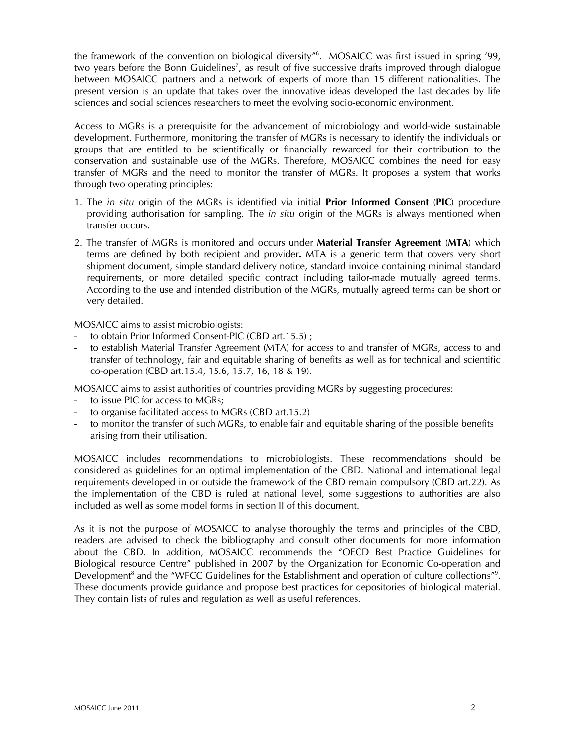the framework of the convention on biological diversity"<sup>6</sup> . MOSAICC was first issued in spring '99, two years before the Bonn Guidelines<sup>7</sup>, as result of five successive drafts improved through dialogue between MOSAICC partners and a network of experts of more than 15 different nationalities. The present version is an update that takes over the innovative ideas developed the last decades by life sciences and social sciences researchers to meet the evolving socio-economic environment.

Access to MGRs is a prerequisite for the advancement of microbiology and world-wide sustainable development. Furthermore, monitoring the transfer of MGRs is necessary to identify the individuals or groups that are entitled to be scientifically or financially rewarded for their contribution to the conservation and sustainable use of the MGRs. Therefore, MOSAICC combines the need for easy transfer of MGRs and the need to monitor the transfer of MGRs. It proposes a system that works through two operating principles:

- 1. The in situ origin of the MGRs is identified via initial Prior Informed Consent (PIC) procedure providing authorisation for sampling. The *in situ* origin of the MGRs is always mentioned when transfer occurs.
- 2. The transfer of MGRs is monitored and occurs under Material Transfer Agreement (MTA) which terms are defined by both recipient and provider. MTA is a generic term that covers very short shipment document, simple standard delivery notice, standard invoice containing minimal standard requirements, or more detailed specific contract including tailor-made mutually agreed terms. According to the use and intended distribution of the MGRs, mutually agreed terms can be short or very detailed.

MOSAICC aims to assist microbiologists:

- to obtain Prior Informed Consent-PIC (CBD art.15.5) ;
- to establish Material Transfer Agreement (MTA) for access to and transfer of MGRs, access to and transfer of technology, fair and equitable sharing of benefits as well as for technical and scientific co-operation (CBD art.15.4, 15.6, 15.7, 16, 18 & 19).

MOSAICC aims to assist authorities of countries providing MGRs by suggesting procedures:

- to issue PIC for access to MGRs;
- to organise facilitated access to MGRs (CBD art.15.2)
- to monitor the transfer of such MGRs, to enable fair and equitable sharing of the possible benefits arising from their utilisation.

MOSAICC includes recommendations to microbiologists. These recommendations should be considered as guidelines for an optimal implementation of the CBD. National and international legal requirements developed in or outside the framework of the CBD remain compulsory (CBD art.22). As the implementation of the CBD is ruled at national level, some suggestions to authorities are also included as well as some model forms in section II of this document.

As it is not the purpose of MOSAICC to analyse thoroughly the terms and principles of the CBD, readers are advised to check the bibliography and consult other documents for more information about the CBD. In addition, MOSAICC recommends the "OECD Best Practice Guidelines for Biological resource Centre" published in 2007 by the Organization for Economic Co-operation and Development<sup>8</sup> and the "WFCC Guidelines for the Establishment and operation of culture collections"<sup>9</sup>. These documents provide guidance and propose best practices for depositories of biological material. They contain lists of rules and regulation as well as useful references.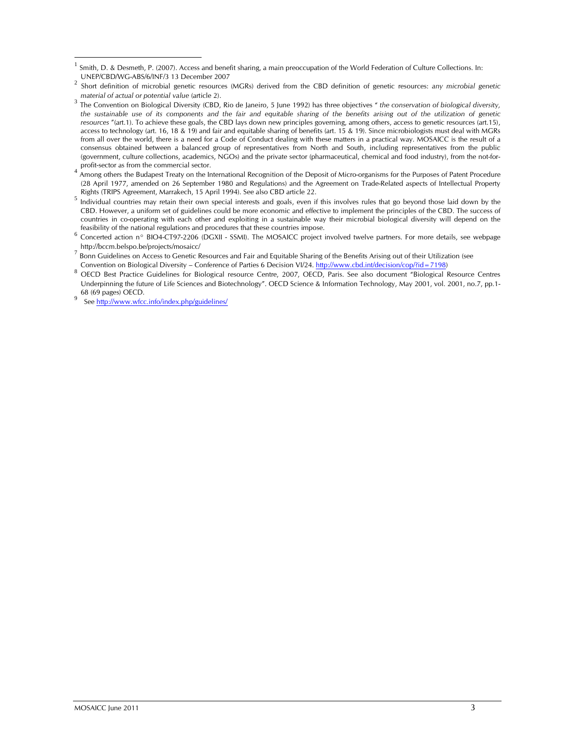9 See http://www.wfcc.info/index.php/guidelines/

 $\overline{a}$ <sup>1</sup> Smith, D. & Desmeth, P. (2007). Access and benefit sharing, a main preoccupation of the World Federation of Culture Collections. In: UNEP/CBD/WG-ABS/6/INF/3 13 December 2007

<sup>2</sup> Short definition of microbial genetic resources (MGRs) derived from the CBD definition of genetic resources: any microbial genetic material of actual or potential value (article 2).

<sup>3</sup> The Convention on Biological Diversity (CBD, Rio de Janeiro, 5 June 1992) has three objectives " the conservation of biological diversity, the sustainable use of its components and the fair and equitable sharing of the benefits arising out of the utilization of genetic resources "(art.1). To achieve these goals, the CBD lays down new principles governing, among others, access to genetic resources (art.15), access to technology (art. 16, 18 & 19) and fair and equitable sharing of benefits (art. 15 & 19). Since microbiologists must deal with MGRs from all over the world, there is a need for a Code of Conduct dealing with these matters in a practical way. MOSAICC is the result of a consensus obtained between a balanced group of representatives from North and South, including representatives from the public (government, culture collections, academics, NGOs) and the private sector (pharmaceutical, chemical and food industry), from the not-forprofit-sector as from the commercial sector.

<sup>4</sup> Among others the Budapest Treaty on the International Recognition of the Deposit of Micro-organisms for the Purposes of Patent Procedure (28 April 1977, amended on 26 September 1980 and Regulations) and the Agreement on Trade-Related aspects of Intellectual Property Rights (TRIPS Agreement, Marrakech, 15 April 1994). See also CBD article 22.

<sup>5</sup> Individual countries may retain their own special interests and goals, even if this involves rules that go beyond those laid down by the CBD. However, a uniform set of guidelines could be more economic and effective to implement the principles of the CBD. The success of countries in co-operating with each other and exploiting in a sustainable way their microbial biological diversity will depend on the feasibility of the national regulations and procedures that these countries impose.

<sup>&</sup>lt;sup>6</sup> Concerted action n° BIO4-CT97-2206 (DGXII - SSMI). The MOSAICC project involved twelve partners. For more details, see webpage http://bccm.belspo.be/projects/mosaicc/

<sup>7</sup> Bonn Guidelines on Access to Genetic Resources and Fair and Equitable Sharing of the Benefits Arising out of their Utilization (see Convention on Biological Diversity – Conference of Parties 6 Decision VI/24. http://www.cbd.int/decision/cop/?id=7198)

<sup>8</sup> OECD Best Practice Guidelines for Biological resource Centre, 2007, OECD, Paris. See also document "Biological Resource Centres Underpinning the future of Life Sciences and Biotechnology". OECD Science & Information Technology, May 2001, vol. 2001, no.7, pp.1- 68 (69 pages) OECD.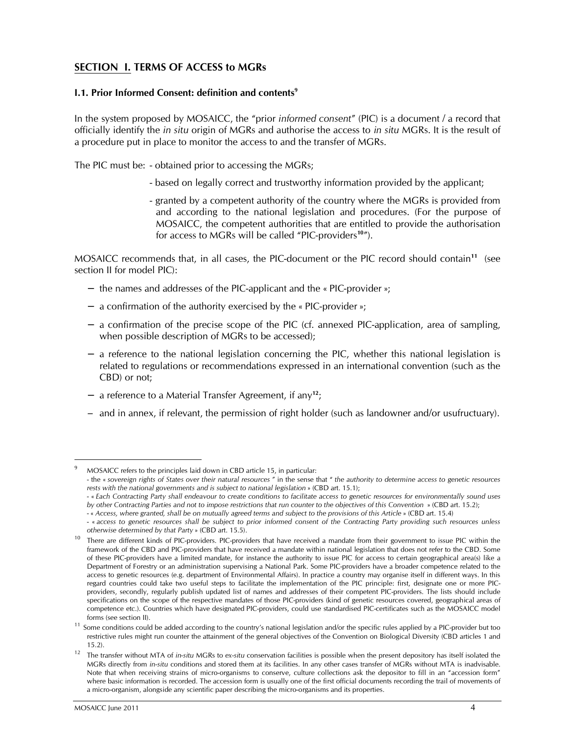## SECTION I. TERMS OF ACCESS to MGRs

#### I.1. Prior Informed Consent: definition and contents<sup>9</sup>

In the system proposed by MOSAICC, the "prior informed consent" (PIC) is a document / a record that officially identify the in situ origin of MGRs and authorise the access to in situ MGRs. It is the result of a procedure put in place to monitor the access to and the transfer of MGRs.

The PIC must be: - obtained prior to accessing the MGRs;

- based on legally correct and trustworthy information provided by the applicant;
- granted by a competent authority of the country where the MGRs is provided from and according to the national legislation and procedures. (For the purpose of MOSAICC, the competent authorities that are entitled to provide the authorisation for access to MGRs will be called "PIC-providers<sup>10</sup>").

MOSAICC recommends that, in all cases, the PIC-document or the PIC record should contain<sup>11</sup> (see section II for model PIC):

- − the names and addresses of the PIC-applicant and the « PIC-provider »;
- − a confirmation of the authority exercised by the « PIC-provider »;
- − a confirmation of the precise scope of the PIC (cf. annexed PIC-application, area of sampling, when possible description of MGRs to be accessed);
- − a reference to the national legislation concerning the PIC, whether this national legislation is related to regulations or recommendations expressed in an international convention (such as the CBD) or not;
- − a reference to a Material Transfer Agreement, if any<sup>12</sup>;
- − and in annex, if relevant, the permission of right holder (such as landowner and/or usufructuary).

<sup>9</sup> MOSAICC refers to the principles laid down in CBD article 15, in particular:

<sup>-</sup> the « sovereign rights of States over their natural resources " in the sense that " the authority to determine access to genetic resources rests with the national governments and is subject to national legislation » (CBD art. 15.1);

 <sup>- «</sup> Each Contracting Party shall endeavour to create conditions to facilitate access to genetic resources for environmentally sound uses by other Contracting Parties and not to impose restrictions that run counter to the objectives of this Convention » (CBD art. 15.2);

 <sup>- «</sup> Access, where granted, shall be on mutually agreed terms and subject to the provisions of this Article » (CBD art. 15.4)

 <sup>- «</sup> access to genetic resources shall be subject to prior informed consent of the Contracting Party providing such resources unless otherwise determined by that Party » (CBD art. 15.5).

<sup>&</sup>lt;sup>10</sup> There are different kinds of PIC-providers. PIC-providers that have received a mandate from their government to issue PIC within the framework of the CBD and PIC-providers that have received a mandate within national legislation that does not refer to the CBD. Some of these PIC-providers have a limited mandate, for instance the authority to issue PIC for access to certain geographical area(s) like a Department of Forestry or an administration supervising a National Park. Some PIC-providers have a broader competence related to the access to genetic resources (e.g. department of Environmental Affairs). In practice a country may organise itself in different ways. In this regard countries could take two useful steps to facilitate the implementation of the PIC principle: first, designate one or more PICproviders, secondly, regularly publish updated list of names and addresses of their competent PIC-providers. The lists should include specifications on the scope of the respective mandates of those PIC-providers (kind of genetic resources covered, geographical areas of competence etc.). Countries which have designated PIC-providers, could use standardised PIC-certificates such as the MOSAICC model forms (see section II).

<sup>&</sup>lt;sup>11</sup> Some conditions could be added according to the country's national legislation and/or the specific rules applied by a PIC-provider but too restrictive rules might run counter the attainment of the general objectives of the Convention on Biological Diversity (CBD articles 1 and 15.2).

<sup>&</sup>lt;sup>12</sup> The transfer without MTA of in-situ MGRs to ex-situ conservation facilities is possible when the present depository has itself isolated the MGRs directly from in-situ conditions and stored them at its facilities. In any other cases transfer of MGRs without MTA is inadvisable. Note that when receiving strains of micro-organisms to conserve, culture collections ask the depositor to fill in an "accession form" where basic information is recorded. The accession form is usually one of the first official documents recording the trail of movements of a micro-organism, alongside any scientific paper describing the micro-organisms and its properties.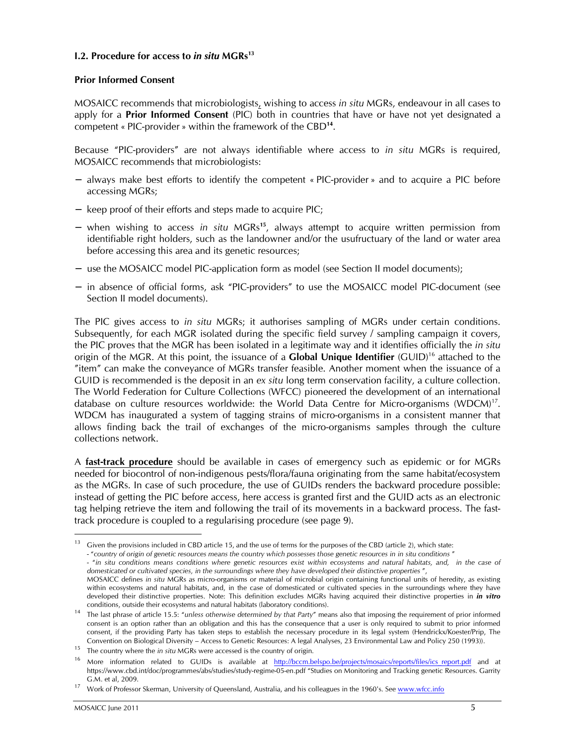#### 1.2. Procedure for access to in situ  $MGRs<sup>13</sup>$

#### Prior Informed Consent

MOSAICC recommends that microbiologists, wishing to access in situ MGRs, endeavour in all cases to apply for a **Prior Informed Consent** (PIC) both in countries that have or have not yet designated a competent « PIC-provider » within the framework of the CBD<sup>14</sup> .

Because "PIC-providers" are not always identifiable where access to in situ MGRs is required, MOSAICC recommends that microbiologists:

- − always make best efforts to identify the competent « PIC-provider » and to acquire a PIC before accessing MGRs;
- − keep proof of their efforts and steps made to acquire PIC;
- − when wishing to access in situ MGRs<sup>15</sup>, always attempt to acquire written permission from identifiable right holders, such as the landowner and/or the usufructuary of the land or water area before accessing this area and its genetic resources;
- − use the MOSAICC model PIC-application form as model (see Section II model documents);
- − in absence of official forms, ask "PIC-providers" to use the MOSAICC model PIC-document (see Section II model documents).

The PIC gives access to *in situ MGRs*; it authorises sampling of MGRs under certain conditions. Subsequently, for each MGR isolated during the specific field survey / sampling campaign it covers, the PIC proves that the MGR has been isolated in a legitimate way and it identifies officially the in situ origin of the MGR. At this point, the issuance of a **Global Unique Identifier** (GUID)<sup>16</sup> attached to the "item" can make the conveyance of MGRs transfer feasible. Another moment when the issuance of a GUID is recommended is the deposit in an ex situ long term conservation facility, a culture collection. The World Federation for Culture Collections (WFCC) pioneered the development of an international database on culture resources worldwide: the World Data Centre for Micro-organisms (WDCM)<sup>17</sup>. WDCM has inaugurated a system of tagging strains of micro-organisms in a consistent manner that allows finding back the trail of exchanges of the micro-organisms samples through the culture collections network.

A **fast-track procedure** should be available in cases of emergency such as epidemic or for MGRs needed for biocontrol of non-indigenous pests/flora/fauna originating from the same habitat/ecosystem as the MGRs. In case of such procedure, the use of GUIDs renders the backward procedure possible: instead of getting the PIC before access, here access is granted first and the GUID acts as an electronic tag helping retrieve the item and following the trail of its movements in a backward process. The fasttrack procedure is coupled to a regularising procedure (see page 9).

<sup>13</sup> Given the provisions included in CBD article 15, and the use of terms for the purposes of the CBD (article 2), which state: - "country of origin of genetic resources means the country which possesses those genetic resources in in situ conditions" - "in situ conditions means conditions where genetic resources exist within ecosystems and natural habitats, and, in the case of domesticated or cultivated species, in the surroundings where they have developed their distinctive properties ", MOSAICC defines in situ MGRs as micro-organisms or material of microbial origin containing functional units of heredity, as existing

within ecosystems and natural habitats, and, in the case of domesticated or cultivated species in the surroundings where they have developed their distinctive properties. Note: This definition excludes MGRs having acquired their distinctive properties in *in vitro* conditions, outside their ecosystems and natural habitats (laboratory conditions).

<sup>&</sup>lt;sup>14</sup> The last phrase of article 15.5: "unless otherwise determined by that Party" means also that imposing the requirement of prior informed consent is an option rather than an obligation and this has the consequence that a user is only required to submit to prior informed consent, if the providing Party has taken steps to establish the necessary procedure in its legal system (Hendrickx/Koester/Prip, The Convention on Biological Diversity – Access to Genetic Resources: A legal Analyses, 23 Environmental Law and Policy 250 (1993)).

<sup>&</sup>lt;sup>15</sup> The country where the *in situ* MGRs were accessed is the country of origin.

<sup>&</sup>lt;sup>16</sup> More information related to GUIDs is available at http://bccm.belspo.be/projects/mosaics/reports/files/ics\_report.pdf and at https://www.cbd.int/doc/programmes/abs/studies/study-regime-05-en.pdf "Studies on Monitoring and Tracking genetic Resources. Garrity G.M. et al, 2009.

<sup>17</sup> Work of Professor Skerman, University of Queensland, Australia, and his colleagues in the 1960's. See www.wfcc.info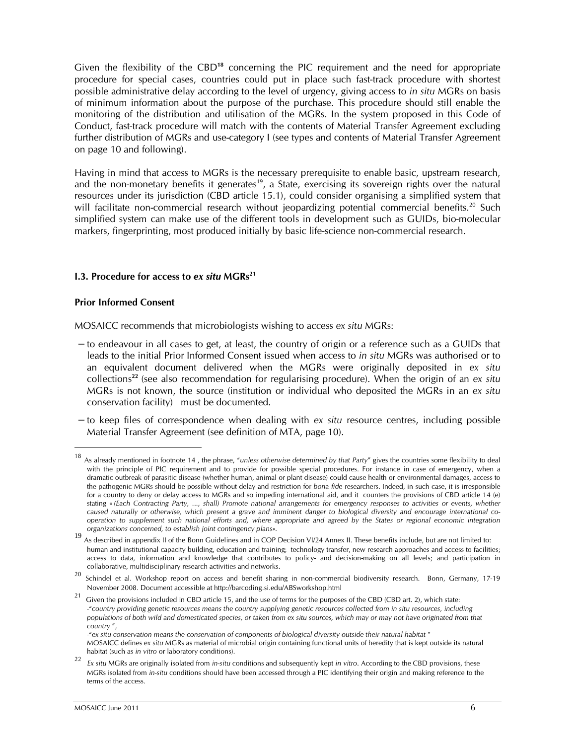Given the flexibility of the CBD<sup>18</sup> concerning the PIC requirement and the need for appropriate procedure for special cases, countries could put in place such fast-track procedure with shortest possible administrative delay according to the level of urgency, giving access to in situ MGRs on basis of minimum information about the purpose of the purchase. This procedure should still enable the monitoring of the distribution and utilisation of the MGRs. In the system proposed in this Code of Conduct, fast-track procedure will match with the contents of Material Transfer Agreement excluding further distribution of MGRs and use-category I (see types and contents of Material Transfer Agreement on page 10 and following).

Having in mind that access to MGRs is the necessary prerequisite to enable basic, upstream research, and the non-monetary benefits it generates<sup>19</sup>, a State, exercising its sovereign rights over the natural resources under its jurisdiction (CBD article 15.1), could consider organising a simplified system that will facilitate non-commercial research without jeopardizing potential commercial benefits.<sup>20</sup> Such simplified system can make use of the different tools in development such as GUIDs, bio-molecular markers, fingerprinting, most produced initially by basic life-science non-commercial research.

#### 1.3. Procedure for access to ex situ  $MGRs^{21}$

#### Prior Informed Consent

 $\ddot{\phantom{a}}$ 

MOSAICC recommends that microbiologists wishing to access ex situ MGRs:

- − to endeavour in all cases to get, at least, the country of origin or a reference such as a GUIDs that leads to the initial Prior Informed Consent issued when access to in situ MGRs was authorised or to an equivalent document delivered when the MGRs were originally deposited in ex situ collections<sup>22</sup> (see also recommendation for regularising procedure). When the origin of an ex situ MGRs is not known, the source (institution or individual who deposited the MGRs in an ex situ conservation facility) must be documented.
- − to keep files of correspondence when dealing with ex situ resource centres, including possible Material Transfer Agreement (see definition of MTA, page 10).

<sup>&</sup>lt;sup>18</sup> As already mentioned in footnote 14, the phrase, "unless otherwise determined by that Party" gives the countries some flexibility to deal with the principle of PIC requirement and to provide for possible special procedures. For instance in case of emergency, when a dramatic outbreak of parasitic disease (whether human, animal or plant disease) could cause health or environmental damages, access to the pathogenic MGRs should be possible without delay and restriction for bona fide researchers. Indeed, in such case, it is irresponsible for a country to deny or delay access to MGRs and so impeding international aid, and it counters the provisions of CBD article 14 (e) stating « (Each Contracting Party, ..., shall) Promote national arrangements for emergency responses to activities or events, whether caused naturally or otherwise, which present a grave and imminent danger to biological diversity and encourage international cooperation to supplement such national efforts and, where appropriate and agreed by the States or regional economic integration organizations concerned, to establish joint contingency plans».

<sup>19</sup> As described in appendix II of the Bonn Guidelines and in COP Decision VI/24 Annex II. These benefits include, but are not limited to: human and institutional capacity building, education and training; technology transfer, new research approaches and access to facilities; access to data, information and knowledge that contributes to policy- and decision-making on all levels; and participation in collaborative, multidisciplinary research activities and networks.

<sup>&</sup>lt;sup>20</sup> Schindel et al. Workshop report on access and benefit sharing in non-commercial biodiversity research. Bonn, Germany, 17-19 November 2008. Document accessible at http://barcoding.si.edu/ABSworkshop.html

 $^{21}$  Given the provisions included in CBD article 15, and the use of terms for the purposes of the CBD (CBD art. 2), which state: -"country providing genetic resources means the country supplying genetic resources collected from in situ resources, including populations of both wild and domesticated species, or taken from ex situ sources, which may or may not have originated from that country ",

 <sup>-&</sup>quot;ex situ conservation means the conservation of components of biological diversity outside their natural habitat " MOSAICC defines ex situ MGRs as material of microbial origin containing functional units of heredity that is kept outside its natural habitat (such as in vitro or laboratory conditions).

<sup>22</sup> Ex situ MGRs are originally isolated from in-situ conditions and subsequently kept in vitro. According to the CBD provisions, these MGRs isolated from in-situ conditions should have been accessed through a PIC identifying their origin and making reference to the terms of the access.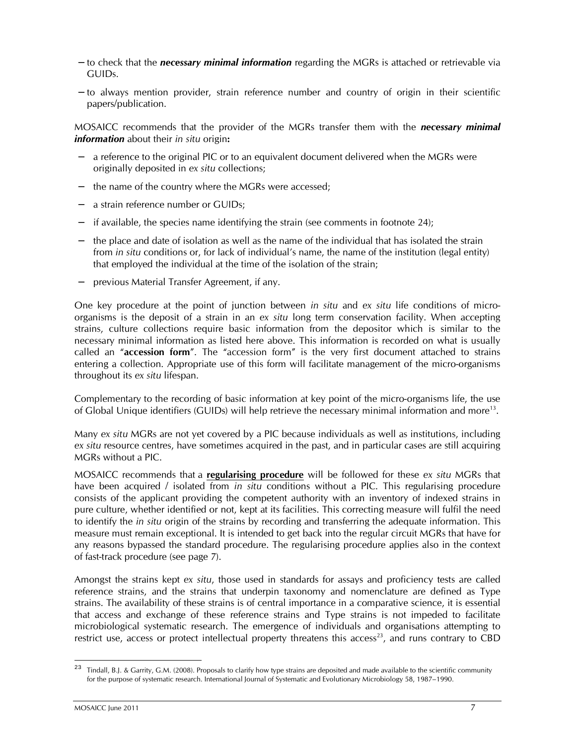- − to check that the **necessary minimal information** regarding the MGRs is attached or retrievable via GUIDs.
- − to always mention provider, strain reference number and country of origin in their scientific papers/publication.

MOSAICC recommends that the provider of the MGRs transfer them with the **necessary minimal** information about their in situ origin:

- − a reference to the original PIC or to an equivalent document delivered when the MGRs were originally deposited in ex situ collections;
- the name of the country where the MGRs were accessed;
- − a strain reference number or GUIDs;
- if available, the species name identifying the strain (see comments in footnote 24);
- − the place and date of isolation as well as the name of the individual that has isolated the strain from in situ conditions or, for lack of individual's name, the name of the institution (legal entity) that employed the individual at the time of the isolation of the strain;
- − previous Material Transfer Agreement, if any.

One key procedure at the point of junction between in situ and ex situ life conditions of microorganisms is the deposit of a strain in an ex situ long term conservation facility. When accepting strains, culture collections require basic information from the depositor which is similar to the necessary minimal information as listed here above. This information is recorded on what is usually called an "accession form". The "accession form" is the very first document attached to strains entering a collection. Appropriate use of this form will facilitate management of the micro-organisms throughout its ex situ lifespan.

Complementary to the recording of basic information at key point of the micro-organisms life, the use of Global Unique identifiers (GUIDs) will help retrieve the necessary minimal information and more<sup>13</sup>.

Many ex situ MGRs are not yet covered by a PIC because individuals as well as institutions, including ex situ resource centres, have sometimes acquired in the past, and in particular cases are still acquiring MGRs without a PIC.

MOSAICC recommends that a regularising procedure will be followed for these ex situ MGRs that have been acquired / isolated from in situ conditions without a PIC. This regularising procedure consists of the applicant providing the competent authority with an inventory of indexed strains in pure culture, whether identified or not, kept at its facilities. This correcting measure will fulfil the need to identify the in situ origin of the strains by recording and transferring the adequate information. This measure must remain exceptional. It is intended to get back into the regular circuit MGRs that have for any reasons bypassed the standard procedure. The regularising procedure applies also in the context of fast-track procedure (see page 7).

Amongst the strains kept ex situ, those used in standards for assays and proficiency tests are called reference strains, and the strains that underpin taxonomy and nomenclature are defined as Type strains. The availability of these strains is of central importance in a comparative science, it is essential that access and exchange of these reference strains and Type strains is not impeded to facilitate microbiological systematic research. The emergence of individuals and organisations attempting to restrict use, access or protect intellectual property threatens this access<sup>23</sup>, and runs contrary to CBD

<sup>23</sup> <sup>23</sup> Tindall, B.J. & Garrity, G.M. (2008). Proposals to clarify how type strains are deposited and made available to the scientific community for the purpose of systematic research. International Journal of Systematic and Evolutionary Microbiology 58, 1987–1990.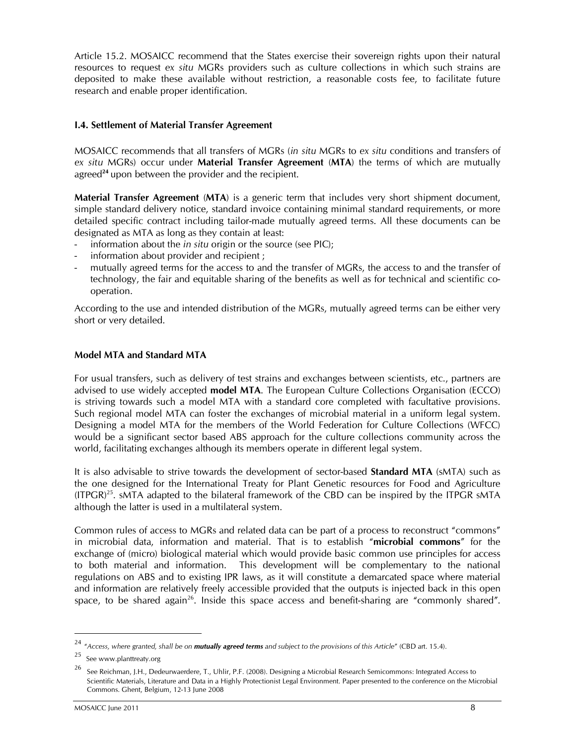Article 15.2. MOSAICC recommend that the States exercise their sovereign rights upon their natural resources to request ex situ MGRs providers such as culture collections in which such strains are deposited to make these available without restriction, a reasonable costs fee, to facilitate future research and enable proper identification.

#### I.4. Settlement of Material Transfer Agreement

MOSAICC recommends that all transfers of MGRs (in situ MGRs to ex situ conditions and transfers of ex situ MGRs) occur under Material Transfer Agreement (MTA) the terms of which are mutually agreed<sup>24</sup> upon between the provider and the recipient.

Material Transfer Agreement (MTA) is a generic term that includes very short shipment document, simple standard delivery notice, standard invoice containing minimal standard requirements, or more detailed specific contract including tailor-made mutually agreed terms. All these documents can be designated as MTA as long as they contain at least:

- information about the *in situ* origin or the source (see PIC);
- information about provider and recipient ;
- mutually agreed terms for the access to and the transfer of MGRs, the access to and the transfer of technology, the fair and equitable sharing of the benefits as well as for technical and scientific cooperation.

According to the use and intended distribution of the MGRs, mutually agreed terms can be either very short or very detailed.

#### Model MTA and Standard MTA

For usual transfers, such as delivery of test strains and exchanges between scientists, etc., partners are advised to use widely accepted model MTA. The European Culture Collections Organisation (ECCO) is striving towards such a model MTA with a standard core completed with facultative provisions. Such regional model MTA can foster the exchanges of microbial material in a uniform legal system. Designing a model MTA for the members of the World Federation for Culture Collections (WFCC) would be a significant sector based ABS approach for the culture collections community across the world, facilitating exchanges although its members operate in different legal system.

It is also advisable to strive towards the development of sector-based **Standard MTA** (sMTA) such as the one designed for the International Treaty for Plant Genetic resources for Food and Agriculture  $(ITPGR)^{25}$ . sMTA adapted to the bilateral framework of the CBD can be inspired by the ITPGR sMTA although the latter is used in a multilateral system.

Common rules of access to MGRs and related data can be part of a process to reconstruct "commons" in microbial data, information and material. That is to establish "microbial commons" for the exchange of (micro) biological material which would provide basic common use principles for access to both material and information. This development will be complementary to the national regulations on ABS and to existing IPR laws, as it will constitute a demarcated space where material and information are relatively freely accessible provided that the outputs is injected back in this open space, to be shared again<sup>26</sup>. Inside this space access and benefit-sharing are "commonly shared".

 $\ddot{\phantom{a}}$ 

 $^{24}$  "Access, where granted, shall be on **mutually agreed terms** and subject to the provisions of this Article" (CBD art. 15.4).

 $25$  See www.planttreaty.org

<sup>26</sup> See Reichman, J.H., Dedeurwaerdere, T., Uhlir, P.F. (2008). Designing a Microbial Research Semicommons: Integrated Access to Scientific Materials, Literature and Data in a Highly Protectionist Legal Environment. Paper presented to the conference on the Microbial Commons. Ghent, Belgium, 12-13 June 2008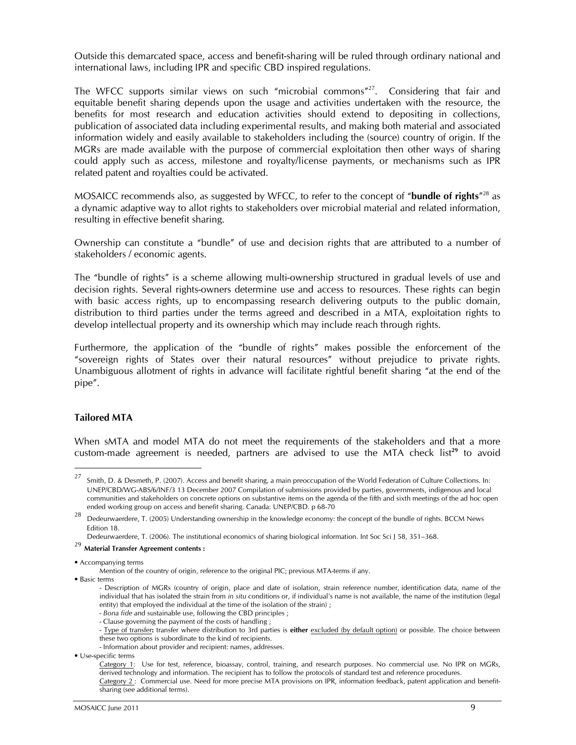Outside this demarcated space, access and benefit-sharing will be ruled through ordinary national and international laws, including IPR and specific CBD inspired regulations.

The WFCC supports similar views on such "microbial commons"<sup>27</sup>. Considering that fair and equitable benefit sharing depends upon the usage and activities undertaken with the resource, the benefits for most research and education activities should extend to depositing in collections, publication of associated data including experimental results, and making both material and associated information widely and easily available to stakeholders including the (source) country of origin. If the MGRs are made available with the purpose of commercial exploitation then other ways of sharing could apply such as access, milestone and royalty/license payments, or mechanisms such as IPR related patent and royalties could be activated.

MOSAICC recommends also, as suggested by WFCC, to refer to the concept of "bundle of rights"<sup>28</sup> as a dynamic adaptive way to allot rights to stakeholders over microbial material and related information, resulting in effective benefit sharing.

Ownership can constitute a "bundle" of use and decision rights that are attributed to a number of stakeholders / economic agents.

The "bundle of rights" is a scheme allowing multi-ownership structured in gradual levels of use and decision rights. Several rights-owners determine use and access to resources. These rights can begin with basic access rights, up to encompassing research delivering outputs to the public domain, distribution to third parties under the terms agreed and described in a MTA, exploitation rights to develop intellectual property and its ownership which may include reach through rights.

Furthermore, the application of the "bundle of rights" makes possible the enforcement of the "sovereign rights of States over their natural resources" without prejudice to private rights. Unambiguous allotment of rights in advance will facilitate rightful benefit sharing "at the end of the pipe".

#### Tailored MTA

 $\ddot{\phantom{a}}$ 

When sMTA and model MTA do not meet the requirements of the stakeholders and that a more custom-made agreement is needed, partners are advised to use the MTA check list<sup>29</sup> to avoid

<sup>27</sup> Smith, D. & Desmeth, P. (2007). Access and benefit sharing, a main preoccupation of the World Federation of Culture Collections. In: UNEP/CBD/WG-ABS/6/INF/3 13 December 2007 Compilation of submissions provided by parties, governments, indigenous and local communities and stakeholders on concrete options on substantive items on the agenda of the fifth and sixth meetings of the ad hoc open ended working group on access and benefit sharing. Canada: UNEP/CBD. p 68-70

<sup>&</sup>lt;sup>28</sup> Dedeurwaerdere, T. (2005) Understanding ownership in the knowledge economy: the concept of the bundle of rights. BCCM News Edition 18.

Dedeurwaerdere, T. (2006). The institutional economics of sharing biological information. Int Soc Sci J 58, 351–368.

 $^{29}$  Material Transfer Agreement contents :

<sup>•</sup> Accompanying terms

Mention of the country of origin, reference to the original PIC; previous MTA-terms if any.

<sup>•</sup> Basic terms

<sup>-</sup> Description of MGRs (country of origin, place and date of isolation, strain reference number, identification data, name of the individual that has isolated the strain from in situ conditions or, if individual's name is not available, the name of the institution (legal entity) that employed the individual at the time of the isolation of the strain) ;

 <sup>-</sup> Bona fide and sustainable use, following the CBD principles ;

 <sup>-</sup> Clause governing the payment of the costs of handling ;

<sup>-</sup> Type of transfer: transfer where distribution to 3rd parties is either excluded (by default option) or possible. The choice between these two options is subordinate to the kind of recipients.

 <sup>-</sup> Information about provider and recipient: names, addresses.

<sup>•</sup> Use-specific terms

Category 1: Use for test, reference, bioassay, control, training, and research purposes. No commercial use. No IPR on MGRs, derived technology and information. The recipient has to follow the protocols of standard test and reference procedures. Category 2 : Commercial use. Need for more precise MTA provisions on IPR, information feedback, patent application and benefitsharing (see additional terms).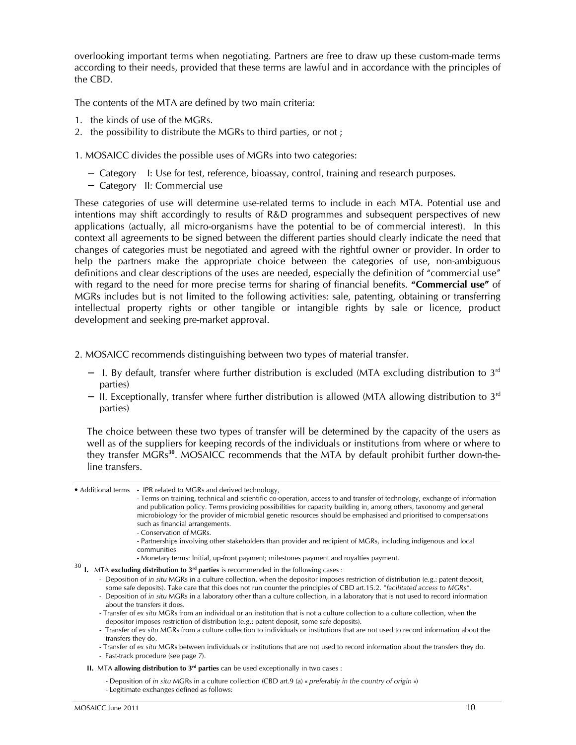overlooking important terms when negotiating. Partners are free to draw up these custom-made terms according to their needs, provided that these terms are lawful and in accordance with the principles of the CBD.

The contents of the MTA are defined by two main criteria:

- 1. the kinds of use of the MGRs.
- 2. the possibility to distribute the MGRs to third parties, or not ;
- 1. MOSAICC divides the possible uses of MGRs into two categories:
	- − Category I: Use for test, reference, bioassay, control, training and research purposes.
	- − Category II: Commercial use

These categories of use will determine use-related terms to include in each MTA. Potential use and intentions may shift accordingly to results of R&D programmes and subsequent perspectives of new applications (actually, all micro-organisms have the potential to be of commercial interest). In this context all agreements to be signed between the different parties should clearly indicate the need that changes of categories must be negotiated and agreed with the rightful owner or provider. In order to help the partners make the appropriate choice between the categories of use, non-ambiguous definitions and clear descriptions of the uses are needed, especially the definition of "commercial use" with regard to the need for more precise terms for sharing of financial benefits. "Commercial use" of MGRs includes but is not limited to the following activities: sale, patenting, obtaining or transferring intellectual property rights or other tangible or intangible rights by sale or licence, product development and seeking pre-market approval.

- 2. MOSAICC recommends distinguishing between two types of material transfer.
	- − I. By default, transfer where further distribution is excluded (MTA excluding distribution to 3rd parties)
	- − II. Exceptionally, transfer where further distribution is allowed (MTA allowing distribution to 3<sup>rd</sup> parties)

The choice between these two types of transfer will be determined by the capacity of the users as well as of the suppliers for keeping records of the individuals or institutions from where or where to they transfer MGRs<sup>30</sup>. MOSAICC recommends that the MTA by default prohibit further down-theline transfers.

• Additional terms - IPR related to MGRs and derived technology,

- Terms on training, technical and scientific co-operation, access to and transfer of technology, exchange of information and publication policy. Terms providing possibilities for capacity building in, among others, taxonomy and general microbiology for the provider of microbial genetic resources should be emphasised and prioritised to compensations such as financial arrangements.

- Conservation of MGRs.
- Partnerships involving other stakeholders than provider and recipient of MGRs, including indigenous and local communities
- Monetary terms: Initial, up-front payment; milestones payment and royalties payment.
- $30$  I. MTA excluding distribution to  $3<sup>rd</sup>$  parties is recommended in the following cases :
	- Deposition of in situ MGRs in a culture collection, when the depositor imposes restriction of distribution (e.g.: patent deposit, some safe deposits). Take care that this does not run counter the principles of CBD art.15.2. "facilitated access to MGRs".
	- Deposition of in situ MGRs in a laboratory other than a culture collection, in a laboratory that is not used to record information about the transfers it does.
	- Transfer of ex situ MGRs from an individual or an institution that is not a culture collection to a culture collection, when the depositor imposes restriction of distribution (e.g.: patent deposit, some safe deposits).
	- Transfer of ex situ MGRs from a culture collection to individuals or institutions that are not used to record information about the transfers they do.
	- Transfer of ex situ MGRs between individuals or institutions that are not used to record information about the transfers they do. - Fast-track procedure (see page 7).
	- II. MTA allowing distribution to  $3<sup>rd</sup>$  parties can be used exceptionally in two cases :

- Deposition of in situ MGRs in a culture collection (CBD art.9 (a) « preferably in the country of origin »)

- Legitimate exchanges defined as follows: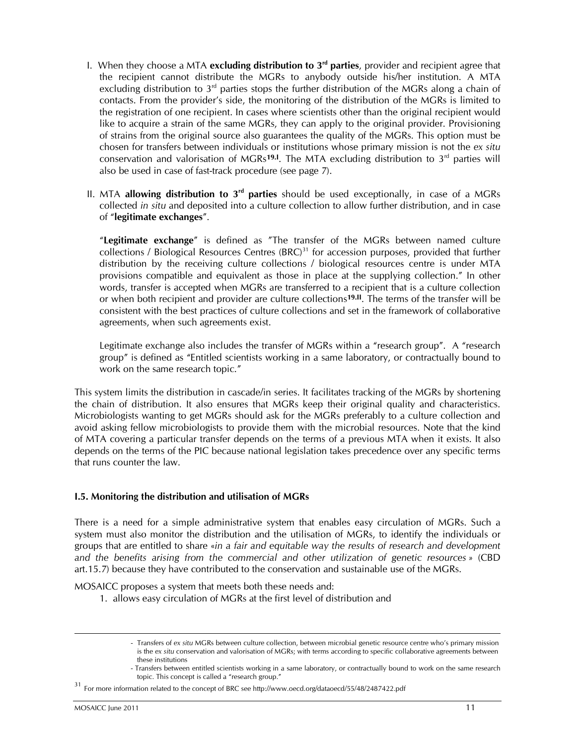- I. When they choose a MTA excluding distribution to  $3<sup>rd</sup>$  parties, provider and recipient agree that the recipient cannot distribute the MGRs to anybody outside his/her institution. A MTA excluding distribution to  $3<sup>rd</sup>$  parties stops the further distribution of the MGRs along a chain of contacts. From the provider's side, the monitoring of the distribution of the MGRs is limited to the registration of one recipient. In cases where scientists other than the original recipient would like to acquire a strain of the same MGRs, they can apply to the original provider. Provisioning of strains from the original source also guarantees the quality of the MGRs. This option must be chosen for transfers between individuals or institutions whose primary mission is not the ex situ conservation and valorisation of MGRs<sup>19.I</sup>. The MTA excluding distribution to  $3<sup>rd</sup>$  parties will also be used in case of fast-track procedure (see page 7).
- II. MTA allowing distribution to  $3<sup>rd</sup>$  parties should be used exceptionally, in case of a MGRs collected in situ and deposited into a culture collection to allow further distribution, and in case of "legitimate exchanges".

"Legitimate exchange" is defined as "The transfer of the MGRs between named culture collections / Biological Resources Centres (BRC)<sup>31</sup> for accession purposes, provided that further distribution by the receiving culture collections / biological resources centre is under MTA provisions compatible and equivalent as those in place at the supplying collection." In other words, transfer is accepted when MGRs are transferred to a recipient that is a culture collection or when both recipient and provider are culture collections<sup>19.II</sup>. The terms of the transfer will be consistent with the best practices of culture collections and set in the framework of collaborative agreements, when such agreements exist.

Legitimate exchange also includes the transfer of MGRs within a "research group". A "research group" is defined as "Entitled scientists working in a same laboratory, or contractually bound to work on the same research topic."

This system limits the distribution in cascade/in series. It facilitates tracking of the MGRs by shortening the chain of distribution. It also ensures that MGRs keep their original quality and characteristics. Microbiologists wanting to get MGRs should ask for the MGRs preferably to a culture collection and avoid asking fellow microbiologists to provide them with the microbial resources. Note that the kind of MTA covering a particular transfer depends on the terms of a previous MTA when it exists. It also depends on the terms of the PIC because national legislation takes precedence over any specific terms that runs counter the law.

#### I.5. Monitoring the distribution and utilisation of MGRs

There is a need for a simple administrative system that enables easy circulation of MGRs. Such a system must also monitor the distribution and the utilisation of MGRs, to identify the individuals or groups that are entitled to share «in a fair and equitable way the results of research and development and the benefits arising from the commercial and other utilization of genetic resources » (CBD art.15.7) because they have contributed to the conservation and sustainable use of the MGRs.

MOSAICC proposes a system that meets both these needs and:

1. allows easy circulation of MGRs at the first level of distribution and

 $\ddot{\phantom{a}}$ 

<sup>-</sup> Transfers of ex situ MGRs between culture collection, between microbial genetic resource centre who's primary mission is the ex situ conservation and valorisation of MGRs; with terms according to specific collaborative agreements between these institutions

<sup>-</sup> Transfers between entitled scientists working in a same laboratory, or contractually bound to work on the same research topic. This concept is called a "research group."

<sup>31</sup> For more information related to the concept of BRC see http://www.oecd.org/dataoecd/55/48/2487422.pdf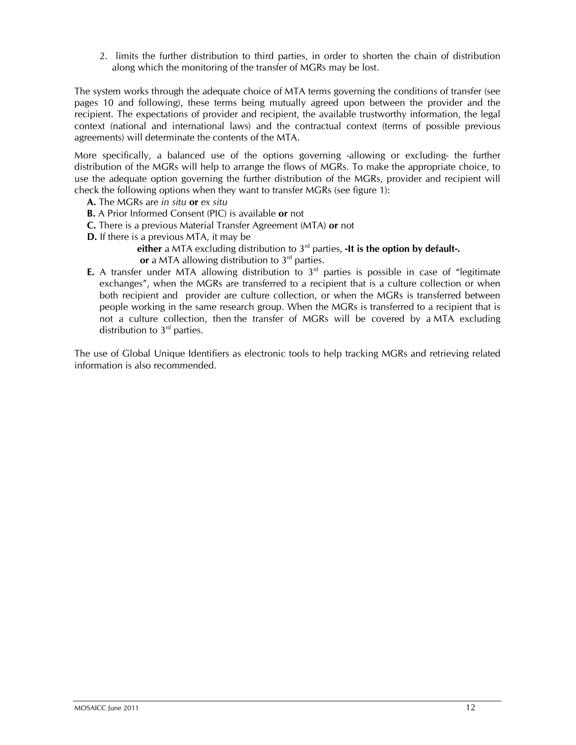2. limits the further distribution to third parties, in order to shorten the chain of distribution along which the monitoring of the transfer of MGRs may be lost.

The system works through the adequate choice of MTA terms governing the conditions of transfer (see pages 10 and following), these terms being mutually agreed upon between the provider and the recipient. The expectations of provider and recipient, the available trustworthy information, the legal context (national and international laws) and the contractual context (terms of possible previous agreements) will determinate the contents of the MTA.

More specifically, a balanced use of the options governing -allowing or excluding- the further distribution of the MGRs will help to arrange the flows of MGRs. To make the appropriate choice, to use the adequate option governing the further distribution of the MGRs, provider and recipient will check the following options when they want to transfer MGRs (see figure 1):

- A. The MGRs are in situ or ex situ
- **B.** A Prior Informed Consent (PIC) is available or not
- C. There is a previous Material Transfer Agreement (MTA) or not
- D. If there is a previous MTA, it may be

either a MTA excluding distribution to  $3<sup>rd</sup>$  parties, -It is the option by default-. or a MTA allowing distribution to  $3<sup>rd</sup>$  parties.

**E.** A transfer under MTA allowing distribution to  $3<sup>rd</sup>$  parties is possible in case of "legitimate exchanges", when the MGRs are transferred to a recipient that is a culture collection or when both recipient and provider are culture collection, or when the MGRs is transferred between people working in the same research group. When the MGRs is transferred to a recipient that is not a culture collection, then the transfer of MGRs will be covered by a MTA excluding distribution to  $3<sup>rd</sup>$  parties.

The use of Global Unique Identifiers as electronic tools to help tracking MGRs and retrieving related information is also recommended.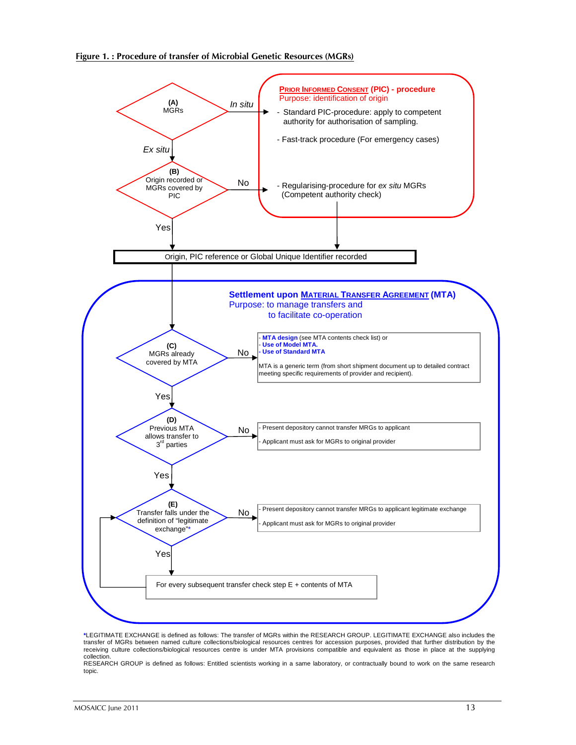

**\***LEGITIMATE EXCHANGE is defined as follows: The transfer of MGRs within the RESEARCH GROUP. LEGITIMATE EXCHANGE also includes the transfer of MGRs between named culture collections/biological resources centres for accession purposes, provided that further distribution by the receiving culture collections/biological resources centre is under MTA provisions compatible and equivalent as those in place at the supplying collection.

RESEARCH GROUP is defined as follows: Entitled scientists working in a same laboratory, or contractually bound to work on the same research topic.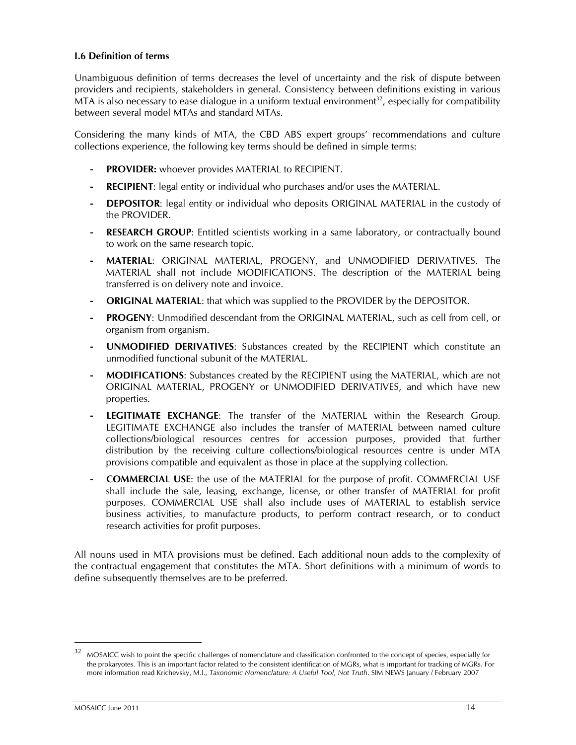#### I.6 Definition of terms

Unambiguous definition of terms decreases the level of uncertainty and the risk of dispute between providers and recipients, stakeholders in general. Consistency between definitions existing in various MTA is also necessary to ease dialogue in a uniform textual environment<sup>32</sup>, especially for compatibility between several model MTAs and standard MTAs.

Considering the many kinds of MTA, the CBD ABS expert groups' recommendations and culture collections experience, the following key terms should be defined in simple terms:

- PROVIDER: whoever provides MATERIAL to RECIPIENT.
- RECIPIENT: legal entity or individual who purchases and/or uses the MATERIAL.
- **DEPOSITOR:** legal entity or individual who deposits ORIGINAL MATERIAL in the custody of the PROVIDER.
- RESEARCH GROUP: Entitled scientists working in a same laboratory, or contractually bound to work on the same research topic.
- MATERIAL: ORIGINAL MATERIAL, PROGENY, and UNMODIFIED DERIVATIVES. The MATERIAL shall not include MODIFICATIONS. The description of the MATERIAL being transferred is on delivery note and invoice.
- **ORIGINAL MATERIAL:** that which was supplied to the PROVIDER by the DEPOSITOR.
- PROGENY: Unmodified descendant from the ORIGINAL MATERIAL, such as cell from cell, or organism from organism.
- UNMODIFIED DERIVATIVES: Substances created by the RECIPIENT which constitute an unmodified functional subunit of the MATERIAL.
- **MODIFICATIONS:** Substances created by the RECIPIENT using the MATERIAL, which are not ORIGINAL MATERIAL, PROGENY or UNMODIFIED DERIVATIVES, and which have new properties.
- LEGITIMATE EXCHANGE: The transfer of the MATERIAL within the Research Group. LEGITIMATE EXCHANGE also includes the transfer of MATERIAL between named culture collections/biological resources centres for accession purposes, provided that further distribution by the receiving culture collections/biological resources centre is under MTA provisions compatible and equivalent as those in place at the supplying collection.
- COMMERCIAL USE: the use of the MATERIAL for the purpose of profit. COMMERCIAL USE shall include the sale, leasing, exchange, license, or other transfer of MATERIAL for profit purposes. COMMERCIAL USE shall also include uses of MATERIAL to establish service business activities, to manufacture products, to perform contract research, or to conduct research activities for profit purposes.

All nouns used in MTA provisions must be defined. Each additional noun adds to the complexity of the contractual engagement that constitutes the MTA. Short definitions with a minimum of words to define subsequently themselves are to be preferred.

<sup>32</sup> MOSAICC wish to point the specific challenges of nomenclature and classification confronted to the concept of species, especially for the prokaryotes. This is an important factor related to the consistent identification of MGRs, what is important for tracking of MGRs. For more information read Krichevsky, M.I., Taxonomic Nomenclature: A Useful Tool, Not Truth. SIM NEWS January / February 2007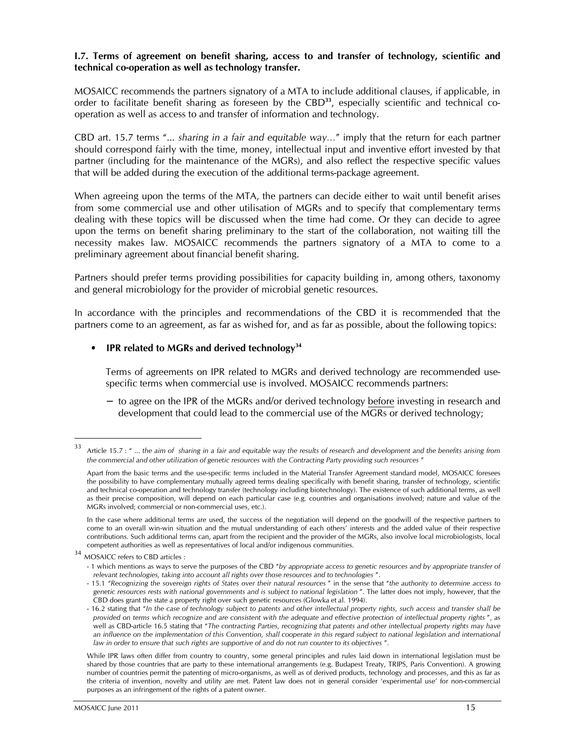#### I.7. Terms of agreement on benefit sharing, access to and transfer of technology, scientific and technical co-operation as well as technology transfer.

MOSAICC recommends the partners signatory of a MTA to include additional clauses, if applicable, in order to facilitate benefit sharing as foreseen by the  $CBD<sup>33</sup>$ , especially scientific and technical cooperation as well as access to and transfer of information and technology.

CBD art. 15.7 terms "... sharing in a fair and equitable way…" imply that the return for each partner should correspond fairly with the time, money, intellectual input and inventive effort invested by that partner (including for the maintenance of the MGRs), and also reflect the respective specific values that will be added during the execution of the additional terms-package agreement.

When agreeing upon the terms of the MTA, the partners can decide either to wait until benefit arises from some commercial use and other utilisation of MGRs and to specify that complementary terms dealing with these topics will be discussed when the time had come. Or they can decide to agree upon the terms on benefit sharing preliminary to the start of the collaboration, not waiting till the necessity makes law. MOSAICC recommends the partners signatory of a MTA to come to a preliminary agreement about financial benefit sharing.

Partners should prefer terms providing possibilities for capacity building in, among others, taxonomy and general microbiology for the provider of microbial genetic resources.

In accordance with the principles and recommendations of the CBD it is recommended that the partners come to an agreement, as far as wished for, and as far as possible, about the following topics:

#### IPR related to MGRs and derived technology<sup>34</sup>

Terms of agreements on IPR related to MGRs and derived technology are recommended usespecific terms when commercial use is involved. MOSAICC recommends partners:

− to agree on the IPR of the MGRs and/or derived technology before investing in research and development that could lead to the commercial use of the MGRs or derived technology;

<sup>33</sup> Article 15.7 : " ... the aim of sharing in a fair and equitable way the results of research and development and the benefits arising from the commercial and other utilization of genetic resources with the Contracting Party providing such resources "

Apart from the basic terms and the use-specific terms included in the Material Transfer Agreement standard model, MOSAICC foresees the possibility to have complementary mutually agreed terms dealing specifically with benefit sharing, transfer of technology, scientific and technical co-operation and technology transfer (technology including biotechnology). The existence of such additional terms, as well as their precise composition, will depend on each particular case (e.g. countries and organisations involved; nature and value of the MGRs involved; commercial or non-commercial uses, etc.).

In the case where additional terms are used, the success of the negotiation will depend on the goodwill of the respective partners to come to an overall win-win situation and the mutual understanding of each others' interests and the added value of their respective contributions. Such additional terms can, apart from the recipient and the provider of the MGRs, also involve local microbiologists, local competent authorities as well as representatives of local and/or indigenous communities.

<sup>34</sup> MOSAICC refers to CBD articles :

<sup>- 1</sup> which mentions as ways to serve the purposes of the CBD "by appropriate access to genetic resources and by appropriate transfer of relevant technologies, taking into account all rights over those resources and to technologies ".

<sup>- 15.1</sup> "Recognizing the sovereign rights of States over their natural resources " in the sense that "the authority to determine access to genetic resources rests with national governments and is subject to national legislation ". The latter does not imply, however, that the CBD does grant the state a property right over such genetic resources (Glowka et al. 1994).

<sup>- 16.2</sup> stating that "In the case of technology subject to patents and other intellectual property rights, such access and transfer shall be provided on terms which recognize and are consistent with the adequate and effective protection of intellectual property rights ", as well as CBD-article 16.5 stating that "The contracting Parties, recognizing that patents and other intellectual property rights may have an influence on the implementation of this Convention, shall cooperate in this regard subject to national legislation and international law in order to ensure that such rights are supportive of and do not run counter to its objectives ".

While IPR laws often differ from country to country, some general principles and rules laid down in international legislation must be shared by those countries that are party to these international arrangements (e.g. Budapest Treaty, TRIPS, Paris Convention). A growing number of countries permit the patenting of micro-organisms, as well as of derived products, technology and processes, and this as far as the criteria of invention, novelty and utility are met. Patent law does not in general consider 'experimental use' for non-commercial purposes as an infringement of the rights of a patent owner.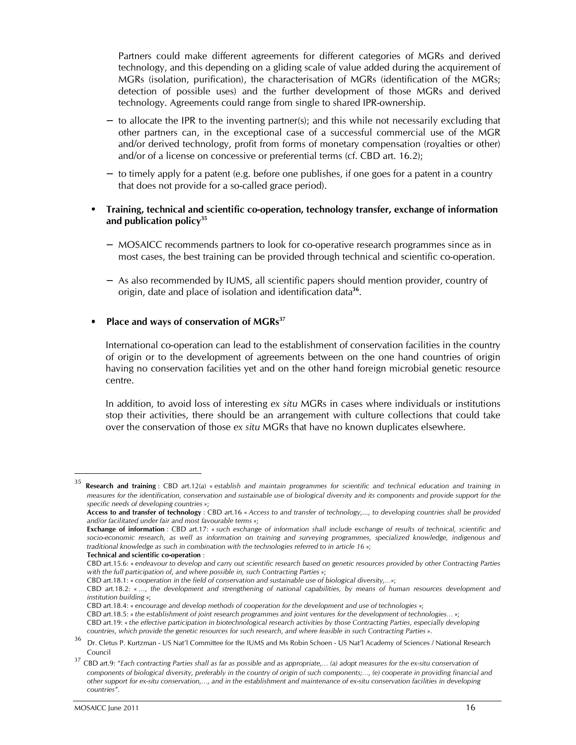Partners could make different agreements for different categories of MGRs and derived technology, and this depending on a gliding scale of value added during the acquirement of MGRs (isolation, purification), the characterisation of MGRs (identification of the MGRs; detection of possible uses) and the further development of those MGRs and derived technology. Agreements could range from single to shared IPR-ownership.

- − to allocate the IPR to the inventing partner(s); and this while not necessarily excluding that other partners can, in the exceptional case of a successful commercial use of the MGR and/or derived technology, profit from forms of monetary compensation (royalties or other) and/or of a license on concessive or preferential terms (cf. CBD art. 16.2);
- − to timely apply for a patent (e.g. before one publishes, if one goes for a patent in a country that does not provide for a so-called grace period).

#### • Training, technical and scientific co-operation, technology transfer, exchange of information and publication policy<sup>35</sup>

- − MOSAICC recommends partners to look for co-operative research programmes since as in most cases, the best training can be provided through technical and scientific co-operation.
- − As also recommended by IUMS, all scientific papers should mention provider, country of origin, date and place of isolation and identification data<sup>36</sup>.

#### Place and ways of conservation of MGRs<sup>37</sup>

International co-operation can lead to the establishment of conservation facilities in the country of origin or to the development of agreements between on the one hand countries of origin having no conservation facilities yet and on the other hand foreign microbial genetic resource centre.

In addition, to avoid loss of interesting ex situ MGRs in cases where individuals or institutions stop their activities, there should be an arrangement with culture collections that could take over the conservation of those ex situ MGRs that have no known duplicates elsewhere.

 $35$  Research and training : CBD art.12(a) « establish and maintain programmes for scientific and technical education and training in measures for the identification, conservation and sustainable use of biological diversity and its components and provide support for the specific needs of developing countries »;

Access to and transfer of technology : CBD art.16 « Access to and transfer of technology,..., to developing countries shall be provided and/or facilitated under fair and most favourable terms »;

Exchange of information : CBD art.17: « such exchange of information shall include exchange of results of technical, scientific and socio-economic research, as well as information on training and surveying programmes, specialized knowledge, indigenous and traditional knowledge as such in combination with the technologies referred to in article 16 »;

Technical and scientific co-operation :

CBD art.15.6: « endeavour to develop and carry out scientific research based on genetic resources provided by other Contracting Parties with the full participation of, and where possible in, such Contracting Parties »;

CBD art.18.1: « cooperation in the field of conservation and sustainable use of biological diversity,…»;

CBD art.18.2: « …, the development and strengthening of national capabilities, by means of human resources development and institution building »;

CBD art.18.4: « encourage and develop methods of cooperation for the development and use of technologies »;

CBD art.18.5: « the establishment of joint research programmes and joint ventures for the development of technologies… »; CBD art.19: « the effective participation in biotechnological research activities by those Contracting Parties, especially developing countries, which provide the genetic resources for such research, and where feasible in such Contracting Parties ».

<sup>36</sup> Dr. Cletus P. Kurtzman - US Nat'l Committee for the IUMS and Ms Robin Schoen - US Nat'l Academy of Sciences / National Research Council

 $37$  CBD art.9: "Each contracting Parties shall as far as possible and as appropriate,... (a) adopt measures for the ex-situ conservation of components of biological diversity, preferably in the country of origin of such components;…, (e) cooperate in providing financial and other support for ex-situ conservation,…, and in the establishment and maintenance of ex-situ conservation facilities in developing countries".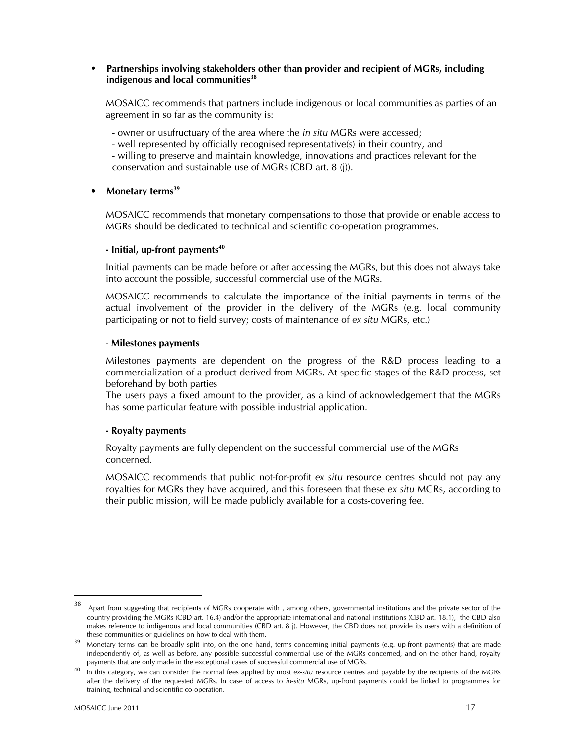#### • Partnerships involving stakeholders other than provider and recipient of MGRs, including indigenous and local communities $38$

MOSAICC recommends that partners include indigenous or local communities as parties of an agreement in so far as the community is:

- owner or usufructuary of the area where the in situ MGRs were accessed;
- well represented by officially recognised representative(s) in their country, and

- willing to preserve and maintain knowledge, innovations and practices relevant for the conservation and sustainable use of MGRs (CBD art. 8 (j)).

#### Monetary terms<sup>39</sup>

MOSAICC recommends that monetary compensations to those that provide or enable access to MGRs should be dedicated to technical and scientific co-operation programmes.

#### $-$  Initial, up-front payments $40$

Initial payments can be made before or after accessing the MGRs, but this does not always take into account the possible, successful commercial use of the MGRs.

MOSAICC recommends to calculate the importance of the initial payments in terms of the actual involvement of the provider in the delivery of the MGRs (e.g. local community participating or not to field survey; costs of maintenance of ex situ MGRs, etc.)

#### - Milestones payments

Milestones payments are dependent on the progress of the R&D process leading to a commercialization of a product derived from MGRs. At specific stages of the R&D process, set beforehand by both parties

The users pays a fixed amount to the provider, as a kind of acknowledgement that the MGRs has some particular feature with possible industrial application.

#### - Royalty payments

Royalty payments are fully dependent on the successful commercial use of the MGRs concerned.

MOSAICC recommends that public not-for-profit ex situ resource centres should not pay any royalties for MGRs they have acquired, and this foreseen that these ex situ MGRs, according to their public mission, will be made publicly available for a costs-covering fee.

<sup>38</sup> Apart from suggesting that recipients of MGRs cooperate with , among others, governmental institutions and the private sector of the country providing the MGRs (CBD art. 16.4) and/or the appropriate international and national institutions (CBD art. 18.1), the CBD also makes reference to indigenous and local communities (CBD art. 8 j). However, the CBD does not provide its users with a definition of these communities or guidelines on how to deal with them.

<sup>&</sup>lt;sup>39</sup> Monetary terms can be broadly split into, on the one hand, terms concerning initial payments (e.g. up-front payments) that are made independently of, as well as before, any possible successful commercial use of the MGRs concerned; and on the other hand, royalty payments that are only made in the exceptional cases of successful commercial use of MGRs.

<sup>40</sup> In this category, we can consider the normal fees applied by most ex-situ resource centres and payable by the recipients of the MGRs after the delivery of the requested MGRs. In case of access to in-situ MGRs, up-front payments could be linked to programmes for training, technical and scientific co-operation.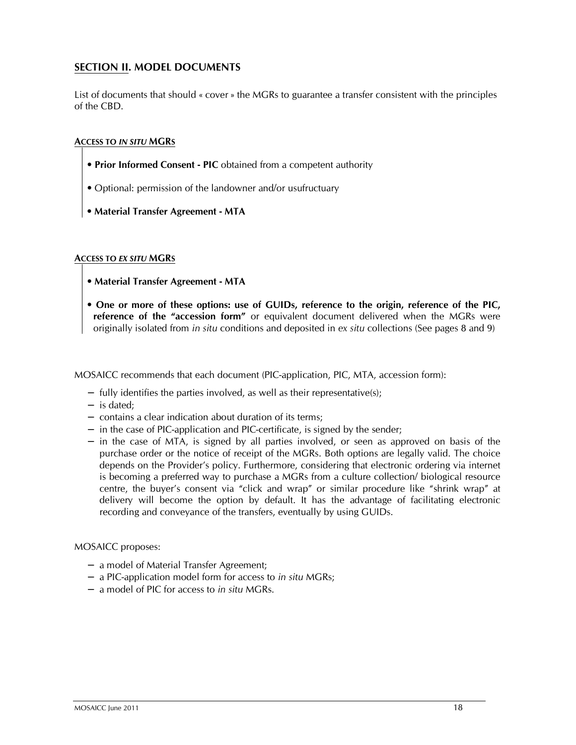## SECTION II. MODEL DOCUMENTS

List of documents that should « cover » the MGRs to guarantee a transfer consistent with the principles of the CBD.

#### ACCESS TO IN SITU MGRS

- Prior Informed Consent PIC obtained from a competent authority
- Optional: permission of the landowner and/or usufructuary
- Material Transfer Agreement MTA

#### ACCESS TO EX SITU MGRS

- Material Transfer Agreement MTA
- One or more of these options: use of GUIDs, reference to the origin, reference of the PIC, reference of the "accession form" or equivalent document delivered when the MGRs were originally isolated from in situ conditions and deposited in ex situ collections (See pages 8 and 9)

MOSAICC recommends that each document (PIC-application, PIC, MTA, accession form):

- − fully identifies the parties involved, as well as their representative(s);
- − is dated;
- − contains a clear indication about duration of its terms;
- − in the case of PIC-application and PIC-certificate, is signed by the sender;
- − in the case of MTA, is signed by all parties involved, or seen as approved on basis of the purchase order or the notice of receipt of the MGRs. Both options are legally valid. The choice depends on the Provider's policy. Furthermore, considering that electronic ordering via internet is becoming a preferred way to purchase a MGRs from a culture collection/ biological resource centre, the buyer's consent via "click and wrap" or similar procedure like "shrink wrap" at delivery will become the option by default. It has the advantage of facilitating electronic recording and conveyance of the transfers, eventually by using GUIDs.

#### MOSAICC proposes:

- − a model of Material Transfer Agreement;
- − a PIC-application model form for access to in situ MGRs;
- − a model of PIC for access to in situ MGRs.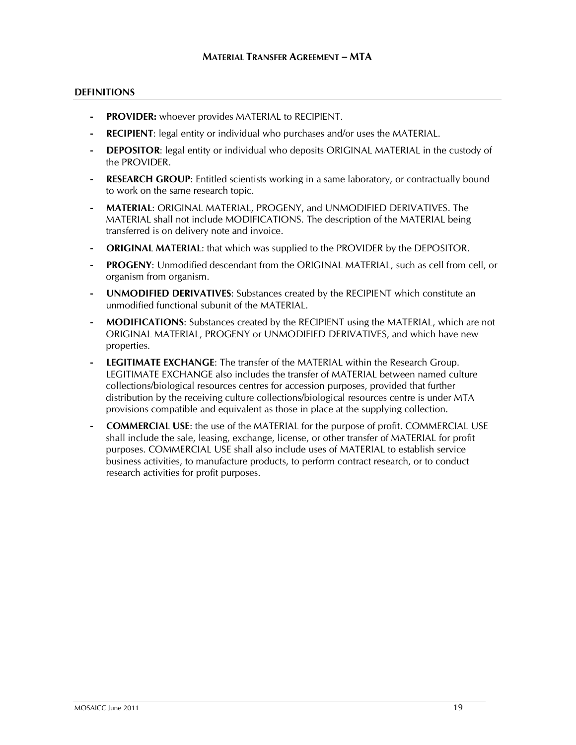#### **DEFINITIONS**

- **PROVIDER:** whoever provides MATERIAL to RECIPIENT.
- **RECIPIENT:** legal entity or individual who purchases and/or uses the MATERIAL.
- DEPOSITOR: legal entity or individual who deposits ORIGINAL MATERIAL in the custody of the PROVIDER.
- **RESEARCH GROUP:** Entitled scientists working in a same laboratory, or contractually bound to work on the same research topic.
- MATERIAL: ORIGINAL MATERIAL, PROGENY, and UNMODIFIED DERIVATIVES. The MATERIAL shall not include MODIFICATIONS. The description of the MATERIAL being transferred is on delivery note and invoice.
- **ORIGINAL MATERIAL:** that which was supplied to the PROVIDER by the DEPOSITOR.
- PROGENY: Unmodified descendant from the ORIGINAL MATERIAL, such as cell from cell, or organism from organism.
- UNMODIFIED DERIVATIVES: Substances created by the RECIPIENT which constitute an unmodified functional subunit of the MATERIAL.
- MODIFICATIONS: Substances created by the RECIPIENT using the MATERIAL, which are not ORIGINAL MATERIAL, PROGENY or UNMODIFIED DERIVATIVES, and which have new properties.
- LEGITIMATE EXCHANGE: The transfer of the MATERIAL within the Research Group. LEGITIMATE EXCHANGE also includes the transfer of MATERIAL between named culture collections/biological resources centres for accession purposes, provided that further distribution by the receiving culture collections/biological resources centre is under MTA provisions compatible and equivalent as those in place at the supplying collection.
- **COMMERCIAL USE:** the use of the MATERIAL for the purpose of profit. COMMERCIAL USE shall include the sale, leasing, exchange, license, or other transfer of MATERIAL for profit purposes. COMMERCIAL USE shall also include uses of MATERIAL to establish service business activities, to manufacture products, to perform contract research, or to conduct research activities for profit purposes.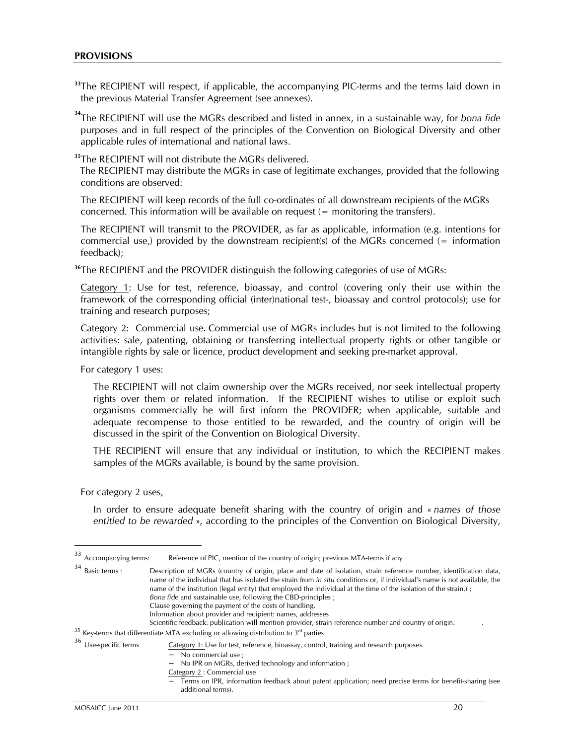#### PROVISIONS

<sup>33</sup>The RECIPIENT will respect, if applicable, the accompanying PIC-terms and the terms laid down in the previous Material Transfer Agreement (see annexes).

 $34$ The RECIPIENT will use the MGRs described and listed in annex, in a sustainable way, for bona fide purposes and in full respect of the principles of the Convention on Biological Diversity and other applicable rules of international and national laws.

<sup>35</sup>The RECIPIENT will not distribute the MGRs delivered.

 The RECIPIENT may distribute the MGRs in case of legitimate exchanges, provided that the following conditions are observed:

The RECIPIENT will keep records of the full co-ordinates of all downstream recipients of the MGRs concerned. This information will be available on request (= monitoring the transfers).

The RECIPIENT will transmit to the PROVIDER, as far as applicable, information (e.g. intentions for commercial use,) provided by the downstream recipient(s) of the MGRs concerned ( $=$  information feedback);

<sup>36</sup>The RECIPIENT and the PROVIDER distinguish the following categories of use of MGRs:

Category 1: Use for test, reference, bioassay, and control (covering only their use within the framework of the corresponding official (inter)national test-, bioassay and control protocols); use for training and research purposes;

Category 2: Commercial use. Commercial use of MGRs includes but is not limited to the following activities: sale, patenting, obtaining or transferring intellectual property rights or other tangible or intangible rights by sale or licence, product development and seeking pre-market approval.

For category 1 uses:

The RECIPIENT will not claim ownership over the MGRs received, nor seek intellectual property rights over them or related information. If the RECIPIENT wishes to utilise or exploit such organisms commercially he will first inform the PROVIDER; when applicable, suitable and adequate recompense to those entitled to be rewarded, and the country of origin will be discussed in the spirit of the Convention on Biological Diversity.

THE RECIPIENT will ensure that any individual or institution, to which the RECIPIENT makes samples of the MGRs available, is bound by the same provision.

For category 2 uses,

 $\overline{a}$ 

In order to ensure adequate benefit sharing with the country of origin and « names of those entitled to be rewarded », according to the principles of the Convention on Biological Diversity,

<sup>34</sup> Basic terms : Description of MGRs (country of origin, place and date of isolation, strain reference number, identification data, name of the individual that has isolated the strain from in situ conditions or, if individual's name is not available, the name of the institution (legal entity) that employed the individual at the time of the isolation of the strain.) ; Bona fide and sustainable use, following the CBD-principles ; Clause governing the payment of the costs of handling. Information about provider and recipient: names, addresses Scientific feedback: publication will mention provider, strain reference number and country of origin. .  $35$  Key-terms that differentiate MTA excluding or allowing distribution to  $3<sup>rd</sup>$  parties <sup>36</sup> Use-specific terms Category 1: Use for test, reference, bioassay, control, training and research purposes. − No commercial use ; No IPR on MGRs, derived technology and information ; Category 2 : Commercial use Terms on IPR, information feedback about patent application; need precise terms for benefit-sharing (see additional terms).

<sup>33</sup> Accompanying terms: Reference of PIC, mention of the country of origin; previous MTA-terms if any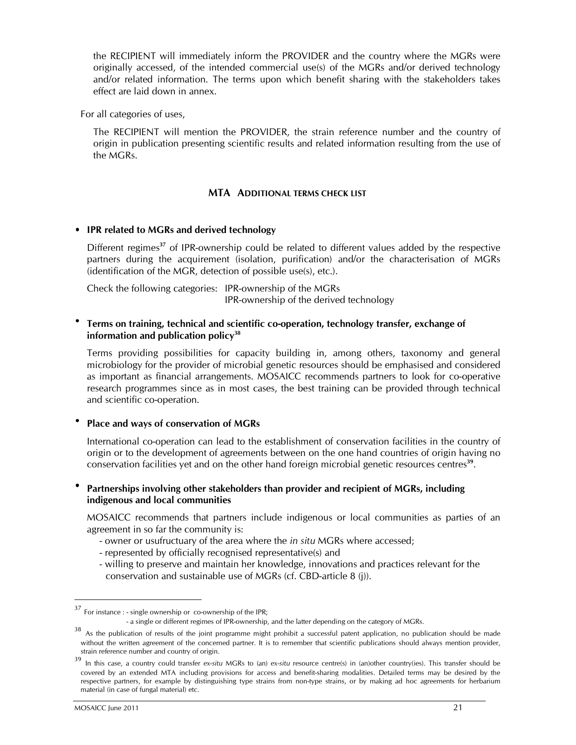the RECIPIENT will immediately inform the PROVIDER and the country where the MGRs were originally accessed, of the intended commercial use(s) of the MGRs and/or derived technology and/or related information. The terms upon which benefit sharing with the stakeholders takes effect are laid down in annex.

For all categories of uses,

The RECIPIENT will mention the PROVIDER, the strain reference number and the country of origin in publication presenting scientific results and related information resulting from the use of the MGRs.

#### MTA ADDITIONAL TERMS CHECK LIST

#### • IPR related to MGRs and derived technology

Different regimes<sup>37</sup> of IPR-ownership could be related to different values added by the respective partners during the acquirement (isolation, purification) and/or the characterisation of MGRs (identification of the MGR, detection of possible use(s), etc.).

Check the following categories: IPR-ownership of the MGRs IPR-ownership of the derived technology

#### • Terms on training, technical and scientific co-operation, technology transfer, exchange of information and publication policy<sup>38</sup>

Terms providing possibilities for capacity building in, among others, taxonomy and general microbiology for the provider of microbial genetic resources should be emphasised and considered as important as financial arrangements. MOSAICC recommends partners to look for co-operative research programmes since as in most cases, the best training can be provided through technical and scientific co-operation.

#### Place and ways of conservation of MGRs

International co-operation can lead to the establishment of conservation facilities in the country of origin or to the development of agreements between on the one hand countries of origin having no conservation facilities yet and on the other hand foreign microbial genetic resources centres<sup>39</sup>.

#### • Partnerships involving other stakeholders than provider and recipient of MGRs, including indigenous and local communities

MOSAICC recommends that partners include indigenous or local communities as parties of an agreement in so far the community is:

- owner or usufructuary of the area where the in situ MGRs where accessed;
- represented by officially recognised representative(s) and
- willing to preserve and maintain her knowledge, innovations and practices relevant for the conservation and sustainable use of MGRs (cf. CBD-article 8 (j)).

 $37$  For instance : - single ownership or co-ownership of the IPR;

 <sup>-</sup> a single or different regimes of IPR-ownership, and the latter depending on the category of MGRs.

 $38$  As the publication of results of the joint programme might prohibit a successful patent application, no publication should be made without the written agreement of the concerned partner. It is to remember that scientific publications should always mention provider, strain reference number and country of origin.

<sup>&</sup>lt;sup>39</sup> In this case, a country could transfer ex-situ MGRs to (an) ex-situ resource centre(s) in (an)other country(ies). This transfer should be covered by an extended MTA including provisions for access and benefit-sharing modalities. Detailed terms may be desired by the respective partners, for example by distinguishing type strains from non-type strains, or by making ad hoc agreements for herbarium material (in case of fungal material) etc.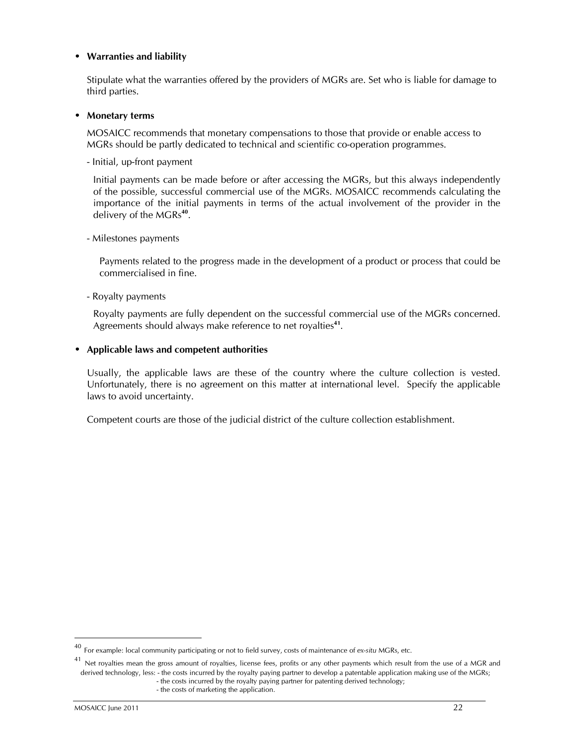#### • Warranties and liability

Stipulate what the warranties offered by the providers of MGRs are. Set who is liable for damage to third parties.

#### • Monetary terms

MOSAICC recommends that monetary compensations to those that provide or enable access to MGRs should be partly dedicated to technical and scientific co-operation programmes.

- Initial, up-front payment

Initial payments can be made before or after accessing the MGRs, but this always independently of the possible, successful commercial use of the MGRs. MOSAICC recommends calculating the importance of the initial payments in terms of the actual involvement of the provider in the delivery of the MGRs<sup>40</sup>.

- Milestones payments

Payments related to the progress made in the development of a product or process that could be commercialised in fine.

- Royalty payments

Royalty payments are fully dependent on the successful commercial use of the MGRs concerned. Agreements should always make reference to net royalties<sup>41</sup>.

#### • Applicable laws and competent authorities

Usually, the applicable laws are these of the country where the culture collection is vested. Unfortunately, there is no agreement on this matter at international level. Specify the applicable laws to avoid uncertainty.

Competent courts are those of the judicial district of the culture collection establishment.

 $\ddot{\phantom{a}}$ 

 $40$  For example: local community participating or not to field survey, costs of maintenance of ex-situ MGRs, etc.

<sup>&</sup>lt;sup>41</sup> Net royalties mean the gross amount of royalties, license fees, profits or any other payments which result from the use of a MGR and derived technology, less: - the costs incurred by the royalty paying partner to develop a patentable application making use of the MGRs; - the costs incurred by the royalty paying partner for patenting derived technology; - the costs of marketing the application.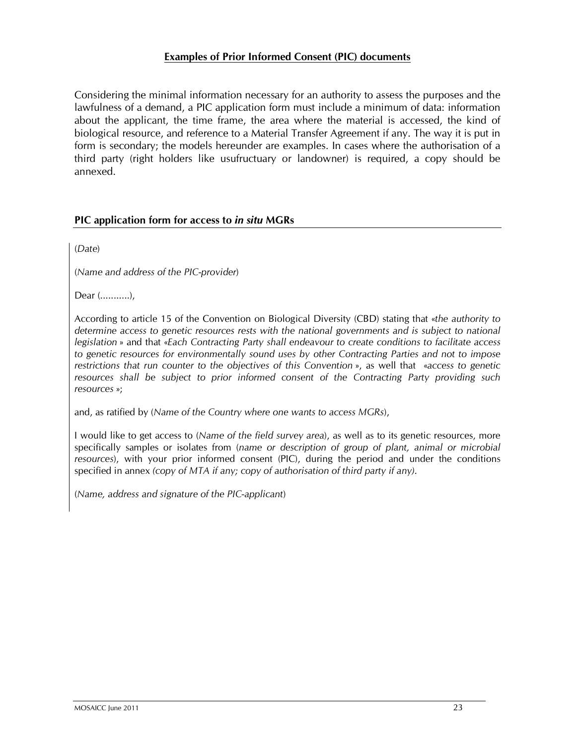## Examples of Prior Informed Consent (PIC) documents

Considering the minimal information necessary for an authority to assess the purposes and the lawfulness of a demand, a PIC application form must include a minimum of data: information about the applicant, the time frame, the area where the material is accessed, the kind of biological resource, and reference to a Material Transfer Agreement if any. The way it is put in form is secondary; the models hereunder are examples. In cases where the authorisation of a third party (right holders like usufructuary or landowner) is required, a copy should be annexed.

## PIC application form for access to in situ MGRs

(Date)

(Name and address of the PIC-provider)

Dear (...........),

According to article 15 of the Convention on Biological Diversity (CBD) stating that «the authority to determine access to genetic resources rests with the national governments and is subject to national legislation » and that «Each Contracting Party shall endeavour to create conditions to facilitate access to genetic resources for environmentally sound uses by other Contracting Parties and not to impose restrictions that run counter to the objectives of this Convention », as well that «access to genetic resources shall be subject to prior informed consent of the Contracting Party providing such resources »;

and, as ratified by (Name of the Country where one wants to access MGRs),

I would like to get access to (Name of the field survey area), as well as to its genetic resources, more specifically samples or isolates from (name or description of group of plant, animal or microbial resources), with your prior informed consent (PIC), during the period and under the conditions specified in annex (copy of MTA if any; copy of authorisation of third party if any).

(Name, address and signature of the PIC-applicant)